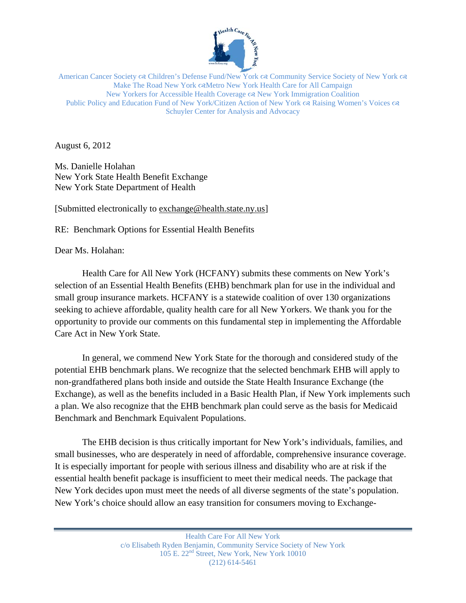

American Cancer Society  $\alpha$  Children's Defense Fund/New York  $\alpha$  Community Service Society of New York  $\alpha$ Make The Road New York & Metro New York Health Care for All Campaign New Yorkers for Accessible Health Coverage New York Immigration Coalition Public Policy and Education Fund of New York/Citizen Action of New York  $\propto$  Raising Women's Voices  $\infty$ Schuyler Center for Analysis and Advocacy

August 6, 2012

Ms. Danielle Holahan New York State Health Benefit Exchange New York State Department of Health

[Submitted electronically to exchange@health.state.ny.us]

RE: Benchmark Options for Essential Health Benefits

Dear Ms. Holahan:

Health Care for All New York (HCFANY) submits these comments on New York's selection of an Essential Health Benefits (EHB) benchmark plan for use in the individual and small group insurance markets. HCFANY is a statewide coalition of over 130 organizations seeking to achieve affordable, quality health care for all New Yorkers. We thank you for the opportunity to provide our comments on this fundamental step in implementing the Affordable Care Act in New York State.

In general, we commend New York State for the thorough and considered study of the potential EHB benchmark plans. We recognize that the selected benchmark EHB will apply to non-grandfathered plans both inside and outside the State Health Insurance Exchange (the Exchange), as well as the benefits included in a Basic Health Plan, if New York implements such a plan. We also recognize that the EHB benchmark plan could serve as the basis for Medicaid Benchmark and Benchmark Equivalent Populations.

The EHB decision is thus critically important for New York's individuals, families, and small businesses, who are desperately in need of affordable, comprehensive insurance coverage. It is especially important for people with serious illness and disability who are at risk if the essential health benefit package is insufficient to meet their medical needs. The package that New York decides upon must meet the needs of all diverse segments of the state's population. New York's choice should allow an easy transition for consumers moving to Exchange-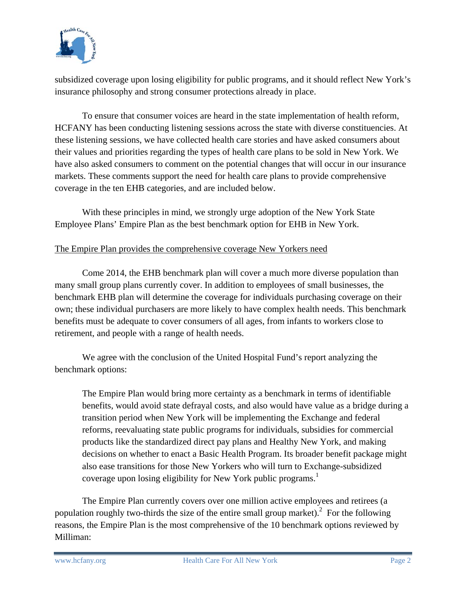

subsidized coverage upon losing eligibility for public programs, and it should reflect New York's insurance philosophy and strong consumer protections already in place.

To ensure that consumer voices are heard in the state implementation of health reform, HCFANY has been conducting listening sessions across the state with diverse constituencies. At these listening sessions, we have collected health care stories and have asked consumers about their values and priorities regarding the types of health care plans to be sold in New York. We have also asked consumers to comment on the potential changes that will occur in our insurance markets. These comments support the need for health care plans to provide comprehensive coverage in the ten EHB categories, and are included below.

With these principles in mind, we strongly urge adoption of the New York State Employee Plans' Empire Plan as the best benchmark option for EHB in New York.

## The Empire Plan provides the comprehensive coverage New Yorkers need

Come 2014, the EHB benchmark plan will cover a much more diverse population than many small group plans currently cover. In addition to employees of small businesses, the benchmark EHB plan will determine the coverage for individuals purchasing coverage on their own; these individual purchasers are more likely to have complex health needs. This benchmark benefits must be adequate to cover consumers of all ages, from infants to workers close to retirement, and people with a range of health needs.

We agree with the conclusion of the United Hospital Fund's report analyzing the benchmark options:

The Empire Plan would bring more certainty as a benchmark in terms of identifiable benefits, would avoid state defrayal costs, and also would have value as a bridge during a transition period when New York will be implementing the Exchange and federal reforms, reevaluating state public programs for individuals, subsidies for commercial products like the standardized direct pay plans and Healthy New York, and making decisions on whether to enact a Basic Health Program. Its broader benefit package might also ease transitions for those New Yorkers who will turn to Exchange-subsidized coverage upon losing eligibility for New York public programs.<sup>1</sup>

The Empire Plan currently covers over one million active employees and retirees (a population roughly two-thirds the size of the entire small group market).<sup>2</sup> For the following reasons, the Empire Plan is the most comprehensive of the 10 benchmark options reviewed by Milliman: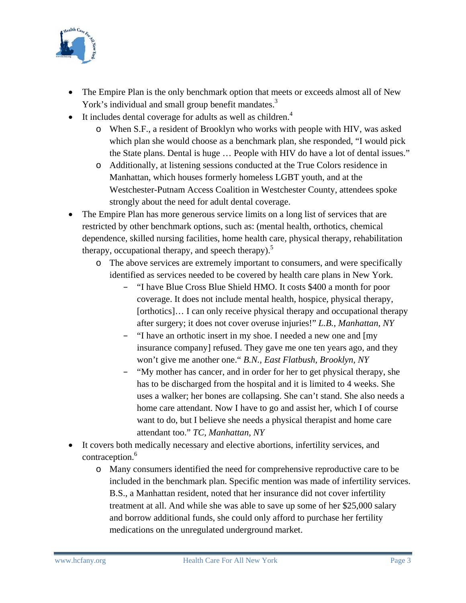

- The Empire Plan is the only benchmark option that meets or exceeds almost all of New York's individual and small group benefit mandates.<sup>3</sup>
- $\bullet$  It includes dental coverage for adults as well as children.<sup>4</sup>
	- o When S.F., a resident of Brooklyn who works with people with HIV, was asked which plan she would choose as a benchmark plan, she responded, "I would pick the State plans. Dental is huge … People with HIV do have a lot of dental issues."
	- o Additionally, at listening sessions conducted at the True Colors residence in Manhattan, which houses formerly homeless LGBT youth, and at the Westchester-Putnam Access Coalition in Westchester County, attendees spoke strongly about the need for adult dental coverage.
- The Empire Plan has more generous service limits on a long list of services that are restricted by other benchmark options, such as: (mental health, orthotics, chemical dependence, skilled nursing facilities, home health care, physical therapy, rehabilitation therapy, occupational therapy, and speech therapy).<sup>5</sup>
	- o The above services are extremely important to consumers, and were specifically identified as services needed to be covered by health care plans in New York.
		- − "I have Blue Cross Blue Shield HMO. It costs \$400 a month for poor coverage. It does not include mental health, hospice, physical therapy, [orthotics]... I can only receive physical therapy and occupational therapy after surgery; it does not cover overuse injuries!" *L.B.*, *Manhattan, NY*
		- − "I have an orthotic insert in my shoe. I needed a new one and [my insurance company] refused. They gave me one ten years ago, and they won't give me another one." *B.N., East Flatbush, Brooklyn, NY*
		- − "My mother has cancer, and in order for her to get physical therapy, she has to be discharged from the hospital and it is limited to 4 weeks. She uses a walker; her bones are collapsing. She can't stand. She also needs a home care attendant. Now I have to go and assist her, which I of course want to do, but I believe she needs a physical therapist and home care attendant too." *TC, Manhattan, NY*
- It covers both medically necessary and elective abortions, infertility services, and contraception.<sup>6</sup>
	- o Many consumers identified the need for comprehensive reproductive care to be included in the benchmark plan. Specific mention was made of infertility services. B.S., a Manhattan resident, noted that her insurance did not cover infertility treatment at all. And while she was able to save up some of her \$25,000 salary and borrow additional funds, she could only afford to purchase her fertility medications on the unregulated underground market.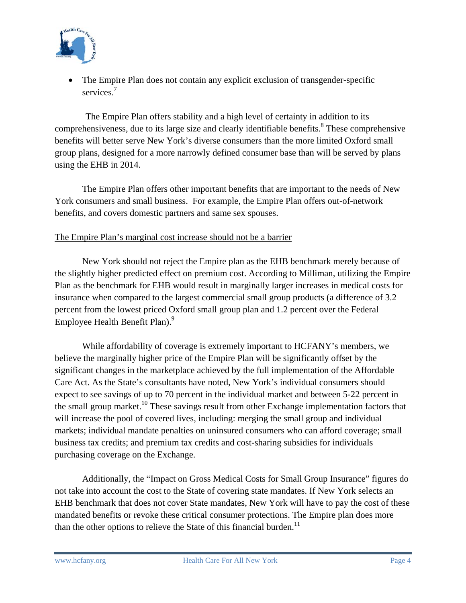

 The Empire Plan does not contain any explicit exclusion of transgender-specific services.<sup>7</sup>

The Empire Plan offers stability and a high level of certainty in addition to its comprehensiveness, due to its large size and clearly identifiable benefits.<sup>8</sup> These comprehensive benefits will better serve New York's diverse consumers than the more limited Oxford small group plans, designed for a more narrowly defined consumer base than will be served by plans using the EHB in 2014.

The Empire Plan offers other important benefits that are important to the needs of New York consumers and small business. For example, the Empire Plan offers out-of-network benefits, and covers domestic partners and same sex spouses.

## The Empire Plan's marginal cost increase should not be a barrier

 New York should not reject the Empire plan as the EHB benchmark merely because of the slightly higher predicted effect on premium cost. According to Milliman, utilizing the Empire Plan as the benchmark for EHB would result in marginally larger increases in medical costs for insurance when compared to the largest commercial small group products (a difference of 3.2 percent from the lowest priced Oxford small group plan and 1.2 percent over the Federal Employee Health Benefit Plan).<sup>9</sup>

 While affordability of coverage is extremely important to HCFANY's members, we believe the marginally higher price of the Empire Plan will be significantly offset by the significant changes in the marketplace achieved by the full implementation of the Affordable Care Act. As the State's consultants have noted, New York's individual consumers should expect to see savings of up to 70 percent in the individual market and between 5-22 percent in the small group market.<sup>10</sup> These savings result from other Exchange implementation factors that will increase the pool of covered lives, including: merging the small group and individual markets; individual mandate penalties on uninsured consumers who can afford coverage; small business tax credits; and premium tax credits and cost-sharing subsidies for individuals purchasing coverage on the Exchange.

 Additionally, the "Impact on Gross Medical Costs for Small Group Insurance" figures do not take into account the cost to the State of covering state mandates. If New York selects an EHB benchmark that does not cover State mandates, New York will have to pay the cost of these mandated benefits or revoke these critical consumer protections. The Empire plan does more than the other options to relieve the State of this financial burden.<sup>11</sup>